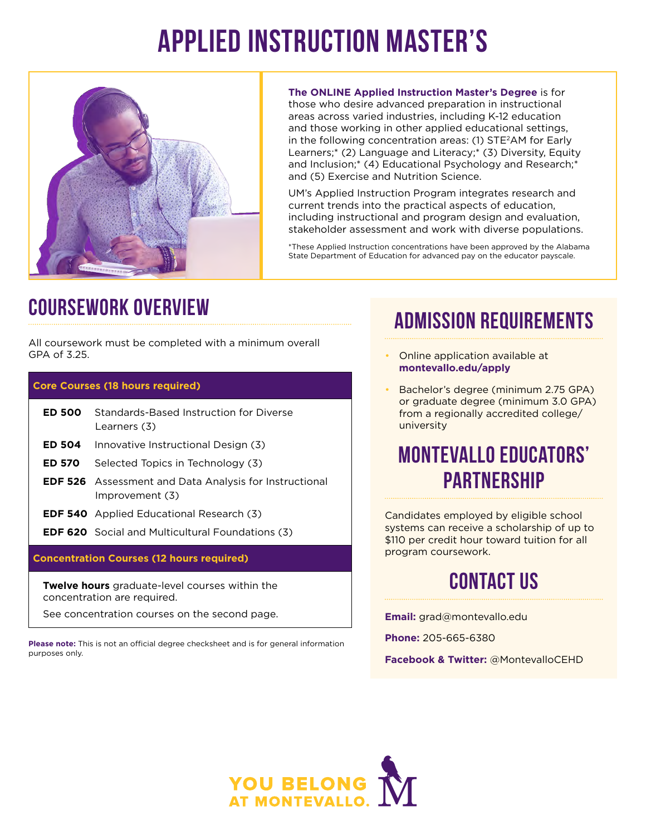# **Applied Instruction Master's**



**The ONLINE Applied Instruction Master's Degree** is for those who desire advanced preparation in instructional areas across varied industries, including K-12 education and those working in other applied educational settings, in the following concentration areas: (1) STE2AM for Early Learners;\* (2) Language and Literacy;\* (3) Diversity, Equity and Inclusion;\* (4) Educational Psychology and Research;\* and (5) Exercise and Nutrition Science.

UM's Applied Instruction Program integrates research and current trends into the practical aspects of education, including instructional and program design and evaluation, stakeholder assessment and work with diverse populations.

\*These Applied Instruction concentrations have been approved by the Alabama State Department of Education for advanced pay on the educator payscale.

#### **Coursework overview**

All coursework must be completed with a minimum overall GPA of 3.25.

#### **Core Courses (18 hours required)**

| ED 500 I                                         | Standards-Based Instruction for Diverse<br>Learners (3)                          |
|--------------------------------------------------|----------------------------------------------------------------------------------|
| <b>ED 504</b>                                    | Innovative Instructional Design (3)                                              |
| ED 570 -                                         | Selected Topics in Technology (3)                                                |
|                                                  | <b>EDF 526</b> Assessment and Data Analysis for Instructional<br>Improvement (3) |
|                                                  | <b>EDF 540</b> Applied Educational Research (3)                                  |
|                                                  | <b>EDF 620</b> Social and Multicultural Foundations (3)                          |
| <b>Concentration Courses (12 hours required)</b> |                                                                                  |

**Twelve hours** graduate-level courses within the concentration are required.

See concentration courses on the second page.

Please note: This is not an official degree checksheet and is for general information purposes only.

# **Admission Requirements**

- Online application available at **montevallo.edu/apply**
- Bachelor's degree (minimum 2.75 GPA) or graduate degree (minimum 3.0 GPA) from a regionally accredited college/ university

#### **Montevallo Educators' Partnership**

Candidates employed by eligible school systems can receive a scholarship of up to \$110 per credit hour toward tuition for all program coursework.

# **Contact US**

**Email:** [grad@montevallo.edu](mailto:grad@montevallo.edu)

**Phone:** 205-665-6380

**Facebook & Twitter:** @MontevalloCEHD